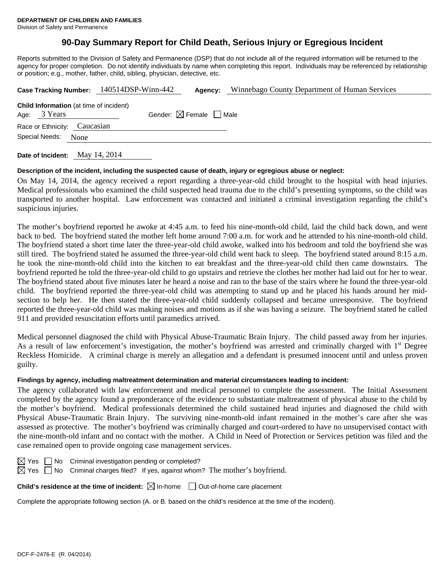# **90-Day Summary Report for Child Death, Serious Injury or Egregious Incident**

Reports submitted to the Division of Safety and Permanence (DSP) that do not include all of the required information will be returned to the agency for proper completion. Do not identify individuals by name when completing this report. Individuals may be referenced by relationship or position; e.g., mother, father, child, sibling, physician, detective, etc.

|                                                                |  | Case Tracking Number: 140514DSP-Winn-442 | Agency:                                | Winnebago County Department of Human Services |  |
|----------------------------------------------------------------|--|------------------------------------------|----------------------------------------|-----------------------------------------------|--|
| <b>Child Information</b> (at time of incident)<br>Age: 3 Years |  |                                          | Gender: $\boxtimes$ Female $\Box$ Male |                                               |  |
| Race or Ethnicity: Caucasian                                   |  |                                          |                                        |                                               |  |
| Special Needs:<br>None                                         |  |                                          |                                        |                                               |  |
|                                                                |  |                                          |                                        |                                               |  |

**Date of Incident:** May 14, 2014

## **Description of the incident, including the suspected cause of death, injury or egregious abuse or neglect:**

On May 14, 2014, the agency received a report regarding a three-year-old child brought to the hospital with head injuries. Medical professionals who examined the child suspected head trauma due to the child's presenting symptoms, so the child was transported to another hospital. Law enforcement was contacted and initiated a criminal investigation regarding the child's suspicious injuries.

The mother's boyfriend reported he awoke at 4:45 a.m. to feed his nine-month-old child, laid the child back down, and went back to bed. The boyfriend stated the mother left home around 7:00 a.m. for work and he attended to his nine-month-old child. The boyfriend stated a short time later the three-year-old child awoke, walked into his bedroom and told the boyfriend she was still tired. The boyfriend stated he assumed the three-year-old child went back to sleep. The boyfriend stated around 8:15 a.m. he took the nine-month-old child into the kitchen to eat breakfast and the three-year-old child then came downstairs. The boyfriend reported he told the three-year-old child to go upstairs and retrieve the clothes her mother had laid out for her to wear. The boyfriend stated about five minutes later he heard a noise and ran to the base of the stairs where he found the three-year-old child. The boyfriend reported the three-year-old child was attempting to stand up and he placed his hands around her midsection to help her. He then stated the three-year-old child suddenly collapsed and became unresponsive. The boyfriend reported the three-year-old child was making noises and motions as if she was having a seizure. The boyfriend stated he called 911 and provided resuscitation efforts until paramedics arrived.

Medical personnel diagnosed the child with Physical Abuse-Traumatic Brain Injury. The child passed away from her injuries. As a result of law enforcement's investigation, the mother's boyfriend was arrested and criminally charged with 1<sup>st</sup> Degree Reckless Homicide. A criminal charge is merely an allegation and a defendant is presumed innocent until and unless proven guilty.

# **Findings by agency, including maltreatment determination and material circumstances leading to incident:**

The agency collaborated with law enforcement and medical personnel to complete the assessment. The Initial Assessment completed by the agency found a preponderance of the evidence to substantiate maltreatment of physical abuse to the child by the mother's boyfriend. Medical professionals determined the child sustained head injuries and diagnosed the child with Physical Abuse-Traumatic Brain Injury. The surviving nine-month-old infant remained in the mother's care after she was assessed as protective. The mother's boyfriend was criminally charged and court-ordered to have no unsupervised contact with the nine-month-old infant and no contact with the mother. A Child in Need of Protection or Services petition was filed and the case remained open to provide ongoing case management services.

 $\boxtimes$  Yes  $\Box$  No Criminal investigation pending or completed?

 $\boxtimes$  Yes  $\Box$  No Criminal charges filed? If yes, against whom? The mother's boyfriend.

**Child's residence at the time of incident:**  $\boxtimes$  In-home  $\Box$  Out-of-home care placement

Complete the appropriate following section (A. or B. based on the child's residence at the time of the incident).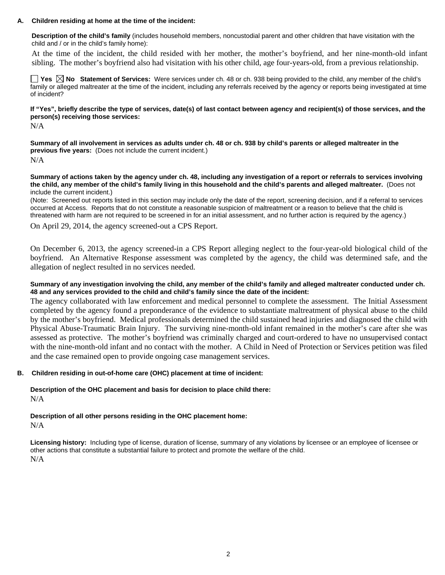#### **A. Children residing at home at the time of the incident:**

**Description of the child's family** (includes household members, noncustodial parent and other children that have visitation with the child and / or in the child's family home):

 At the time of the incident, the child resided with her mother, the mother's boyfriend, and her nine-month-old infant sibling. The mother's boyfriend also had visitation with his other child, age four-years-old, from a previous relationship.

**Yes No Statement of Services:** Were services under ch. 48 or ch. 938 being provided to the child, any member of the child's family or alleged maltreater at the time of the incident, including any referrals received by the agency or reports being investigated at time of incident?

**If "Yes", briefly describe the type of services, date(s) of last contact between agency and recipient(s) of those services, and the person(s) receiving those services:** 

N/A

**Summary of all involvement in services as adults under ch. 48 or ch. 938 by child's parents or alleged maltreater in the previous five years:** (Does not include the current incident.) N/A

**Summary of actions taken by the agency under ch. 48, including any investigation of a report or referrals to services involving the child, any member of the child's family living in this household and the child's parents and alleged maltreater.** (Does not include the current incident.)

(Note: Screened out reports listed in this section may include only the date of the report, screening decision, and if a referral to services occurred at Access. Reports that do not constitute a reasonable suspicion of maltreatment or a reason to believe that the child is threatened with harm are not required to be screened in for an initial assessment, and no further action is required by the agency.)

On April 29, 2014, the agency screened-out a CPS Report.

On December 6, 2013, the agency screened-in a CPS Report alleging neglect to the four-year-old biological child of the boyfriend. An Alternative Response assessment was completed by the agency, the child was determined safe, and the allegation of neglect resulted in no services needed.

#### **Summary of any investigation involving the child, any member of the child's family and alleged maltreater conducted under ch. 48 and any services provided to the child and child's family since the date of the incident:**

The agency collaborated with law enforcement and medical personnel to complete the assessment. The Initial Assessment completed by the agency found a preponderance of the evidence to substantiate maltreatment of physical abuse to the child by the mother's boyfriend. Medical professionals determined the child sustained head injuries and diagnosed the child with Physical Abuse-Traumatic Brain Injury. The surviving nine-month-old infant remained in the mother's care after she was assessed as protective. The mother's boyfriend was criminally charged and court-ordered to have no unsupervised contact with the nine-month-old infant and no contact with the mother. A Child in Need of Protection or Services petition was filed and the case remained open to provide ongoing case management services.

## **B. Children residing in out-of-home care (OHC) placement at time of incident:**

**Description of the OHC placement and basis for decision to place child there:** N/A

**Description of all other persons residing in the OHC placement home:** N/A

**Licensing history:** Including type of license, duration of license, summary of any violations by licensee or an employee of licensee or other actions that constitute a substantial failure to protect and promote the welfare of the child. N/A